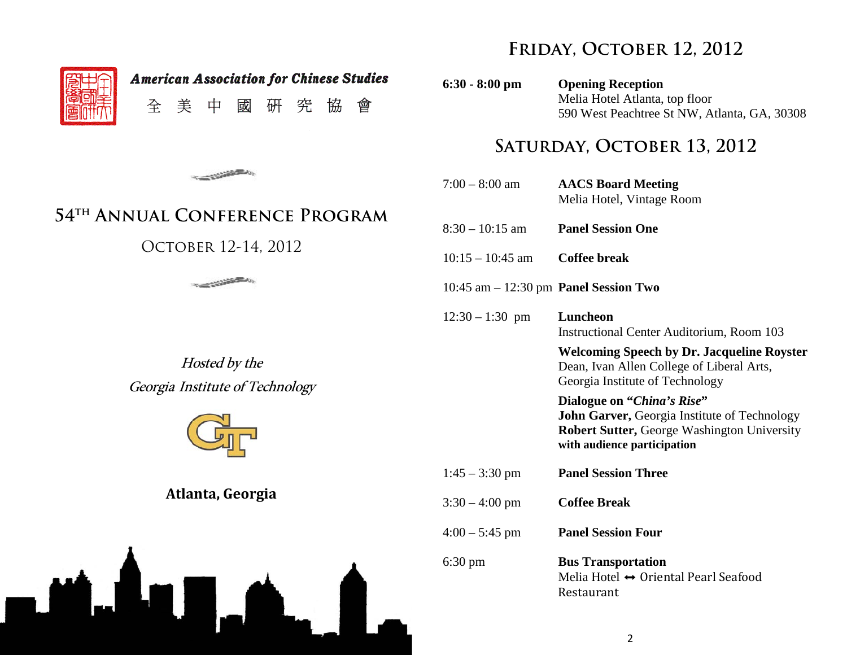$\blacksquare$ 

W.J

**American Association for Chinese Studies** 美 全 中 或 研 究 協 會

### **The Contract of Street, The Contract of Street, The Contract of Street, The Contract of Street, The Contract of Street, The Contract of Street, The Contract of Street, The Contract of Street, The Contract of Street, The C**

## **54th Annual Conference Program**

### OCTOBER 12-14, 2012



Hosted by the Georgia Institute of Technology



**Atlanta, Georgia**

U.A



**6:30 - 8:00 pm Opening Reception** Melia Hotel Atlanta, top floor 590 West Peachtree St NW, Atlanta, GA, 30308

## **Saturday, October 13, 2012**

| $7:00 - 8:00$ am                                | <b>AACS Board Meeting</b><br>Melia Hotel, Vintage Room                                                                                                   |
|-------------------------------------------------|----------------------------------------------------------------------------------------------------------------------------------------------------------|
| $8:30 - 10:15$ am                               | <b>Panel Session One</b>                                                                                                                                 |
| $10:15 - 10:45$ am                              | <b>Coffee break</b>                                                                                                                                      |
| $10:45$ am $-12:30$ pm <b>Panel Session Two</b> |                                                                                                                                                          |
| $12:30 - 1:30$ pm                               | Luncheon<br><b>Instructional Center Auditorium, Room 103</b>                                                                                             |
|                                                 | <b>Welcoming Speech by Dr. Jacqueline Royster</b><br>Dean, Ivan Allen College of Liberal Arts,<br>Georgia Institute of Technology                        |
|                                                 | Dialogue on "China's Rise"<br>John Garver, Georgia Institute of Technology<br>Robert Sutter, George Washington University<br>with audience participation |
| $1:45 - 3:30$ pm                                | <b>Panel Session Three</b>                                                                                                                               |
| $3:30 - 4:00$ pm                                | <b>Coffee Break</b>                                                                                                                                      |
| $4:00 - 5:45$ pm                                | <b>Panel Session Four</b>                                                                                                                                |
| $6:30 \text{ pm}$                               | <b>Bus Transportation</b><br>Melia Hotel $\leftrightarrow$ Oriental Pearl Seafood<br>Restaurant                                                          |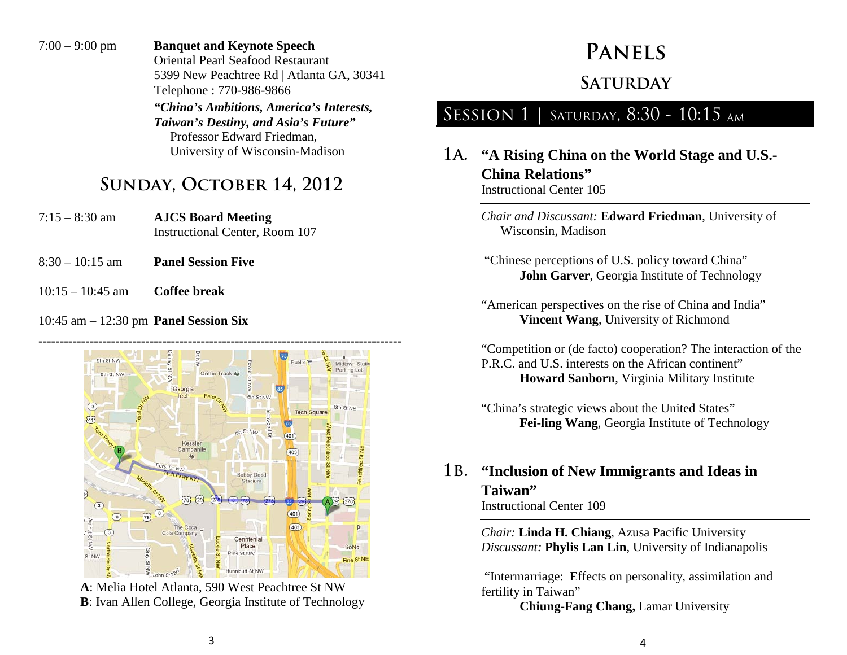7:00 – 9:00 pm **Banquet and Keynote Speech** Oriental Pearl Seafood Restaurant 5399 New Peachtree Rd | Atlanta GA, 30341 Telephone : 770-986-9866 *"China's Ambitions, America's Interests, Taiwan's Destiny, and Asia's Future"* Professor Edward Friedman, University of Wisconsin-Madison

## **Sunday, October 14, 2012**

- 7:15 8:30 am **AJCS Board Meeting** Instructional Center, Room 107
- 8:30 10:15 am **Panel Session Five**
- 10:15 10:45 am **Coffee break**

#### 10:45 am – 12:30 pm **Panel Session Six**

**-------------------------------------------------------------------------------------** 9th St NW **Dishliv** Midtown Stat Parking Lot Griffin Track Ad **8th St NW** Georgia  $\overline{35}$ 6th St NW  $\overline{3}$ **Tech Sou**  $\widetilde{41}$ .n St Nu  $(401)$ Kessle Campanile 403 rst Dr NW **Bobby Dodg** Stadium  $(78)$   $(29)$  $(278)$ 401  $\sqrt{8}$  $(403)$ P  $\circ$ VVN 1S Place SoNo ine St NW St NW Pine St NE nnicutt St.NW

**A**: Melia Hotel Atlanta, 590 West Peachtree St NW **B**: Ivan Allen College, Georgia Institute of Technology

# **Panels**

### **Saturday**

## SESSION 1 | SATURDAY, 8:30 - 10:15 AM

**1a. "A Rising China on the World Stage and U.S.- China Relations"** Instructional Center 105

> *Chair and Discussant:* **Edward Friedman**, University of Wisconsin, Madison

- "Chinese perceptions of U.S. policy toward China" **John Garver**, Georgia Institute of Technology
- "American perspectives on the rise of China and India" **Vincent Wang**, University of Richmond

"Competition or (de facto) cooperation? The interaction of the P.R.C. and U.S. interests on the African continent" **Howard Sanborn**, Virginia Military Institute

"China's strategic views about the United States" **Fei-ling Wang**, Georgia Institute of Technology

#### **1b. "Inclusion of New Immigrants and Ideas in Taiwan"** Instructional Center 109

*Chair:* **Linda H. Chiang**, Azusa Pacific University *Discussant:* **Phylis Lan Lin**, University of Indianapolis

"Intermarriage: Effects on personality, assimilation and fertility in Taiwan"

**Chiung-Fang Chang,** Lamar University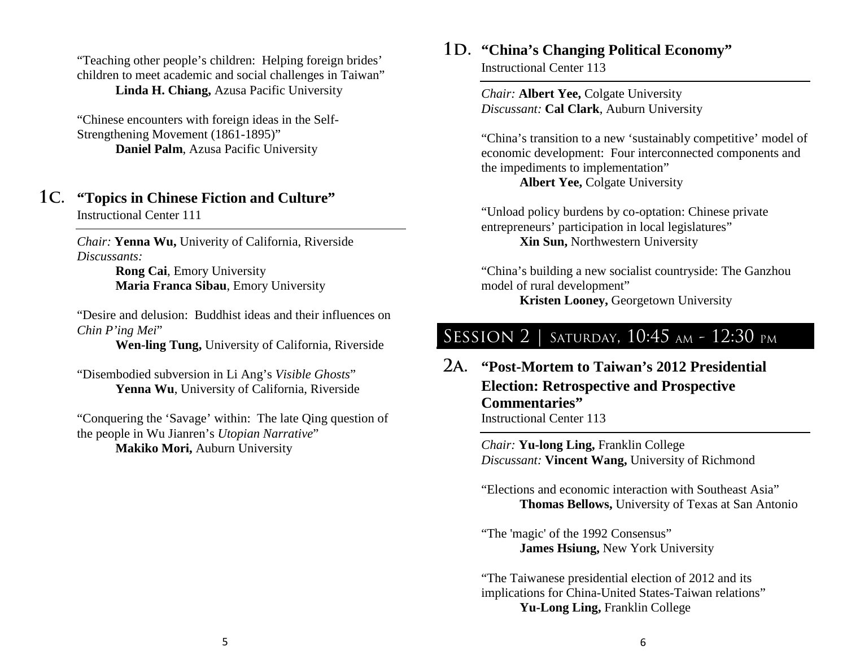"Teaching other people's children: Helping foreign brides' children to meet academic and social challenges in Taiwan" **Linda H. Chiang,** Azusa Pacific University

"Chinese encounters with foreign ideas in the Self-Strengthening Movement (1861-1895)" **Daniel Palm**, Azusa Pacific University

#### **1c. "Topics in Chinese Fiction and Culture"** Instructional Center 111

*Chair:* **Yenna Wu,** Univerity of California, Riverside *Discussants:* 

> **Rong Cai**, Emory University **Maria Franca Sibau**, Emory University

"Desire and delusion: Buddhist ideas and their influences on *Chin P'ing Mei*"

**Wen-ling Tung,** University of California, Riverside

"Disembodied subversion in Li Ang's *Visible Ghosts*" **Yenna Wu**, University of California, Riverside

"Conquering the 'Savage' within: The late Qing question of the people in Wu Jianren's *Utopian Narrative*" **Makiko Mori,** Auburn University

#### 1D. **"China's Changing Political Economy"**

Instructional Center 113

*Chair:* **Albert Yee,** Colgate University *Discussant:* **Cal Clark**, Auburn University

"China's transition to a new 'sustainably competitive' model of economic development: Four interconnected components and the impediments to implementation"

**Albert Yee,** Colgate University

"Unload policy burdens by co-optation: Chinese private entrepreneurs' participation in local legislatures" **Xin Sun,** Northwestern University

"China's building a new socialist countryside: The Ganzhou model of rural development" **Kristen Looney,** Georgetown University

## SESSION 2 | SATURDAY, 10:45 AM - 12:30 PM

**2a. "Post-Mortem to Taiwan's 2012 Presidential Election: Retrospective and Prospective Commentaries"** Instructional Center 113

> *Chair:* **Yu-long Ling,** Franklin College *Discussant:* **Vincent Wang,** University of Richmond

"Elections and economic interaction with Southeast Asia" **Thomas Bellows,** University of Texas at San Antonio

"The 'magic' of the 1992 Consensus" **James Hsiung,** New York University

"The Taiwanese presidential election of 2012 and its implications for China-United States-Taiwan relations" Yu-Long Ling, Franklin College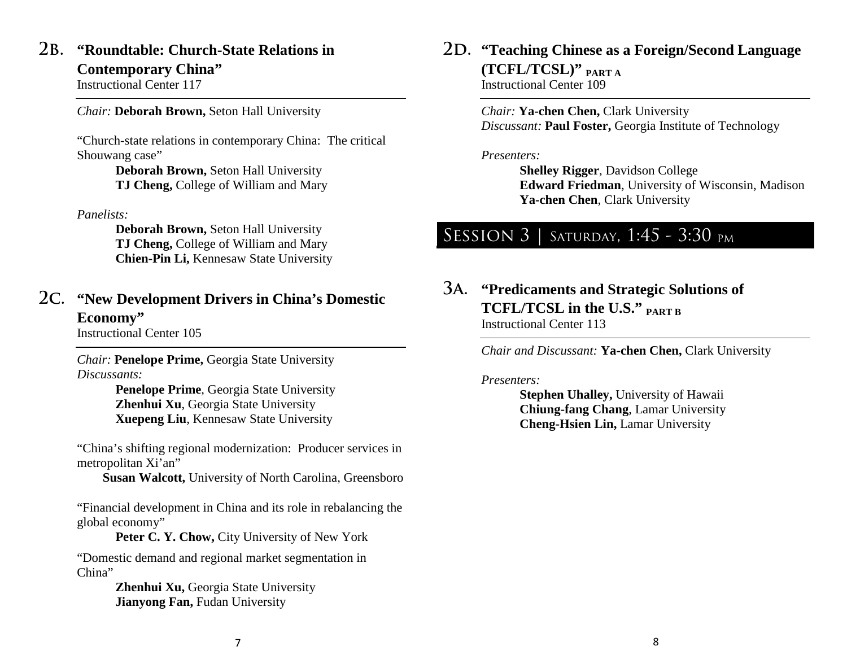### **2b. "Roundtable: Church-State Relations in Contemporary China"**

Instructional Center 117

*Chair:* **Deborah Brown,** Seton Hall University

"Church-state relations in contemporary China: The critical Shouwang case"

> **Deborah Brown,** Seton Hall University **TJ Cheng,** College of William and Mary

#### *Panelists:*

**Deborah Brown,** Seton Hall University **TJ Cheng,** College of William and Mary **Chien-Pin Li,** Kennesaw State University

### **2c. "New Development Drivers in China's Domestic Economy"**

Instructional Center 105

*Chair:* **Penelope Prime,** Georgia State University *Discussants:* 

> **Penelope Prime**, Georgia State University **Zhenhui Xu**, Georgia State University **Xuepeng Liu**, Kennesaw State University

"China's shifting regional modernization: Producer services in metropolitan Xi'an"

 **Susan Walcott,** University of North Carolina, Greensboro

"Financial development in China and its role in rebalancing the global economy"

Peter C. Y. Chow, City University of New York

"Domestic demand and regional market segmentation in China"

> **Zhenhui Xu,** Georgia State University **Jianyong Fan, Fudan University**

**2d. "Teaching Chinese as a Foreign/Second Language (TCFL/TCSL)" PART A** Instructional Center 109

> *Chair:* **Ya-chen Chen,** Clark University *Discussant:* **Paul Foster,** Georgia Institute of Technology

#### *Presenters:*

**Shelley Rigger**, Davidson College **Edward Friedman**, University of Wisconsin, Madison **Ya-chen Chen**, Clark University

## SESSION 3 | SATURDAY, 1:45 - 3:30 PM

**3a. "Predicaments and Strategic Solutions of TCFL/TCSL in the U.S." PART B** Instructional Center 113

*Chair and Discussant:* **Ya-chen Chen,** Clark University

#### *Presenters:*

**Stephen Uhalley,** University of Hawaii **Chiung-fang Chang**, Lamar University **Cheng-Hsien Lin,** Lamar University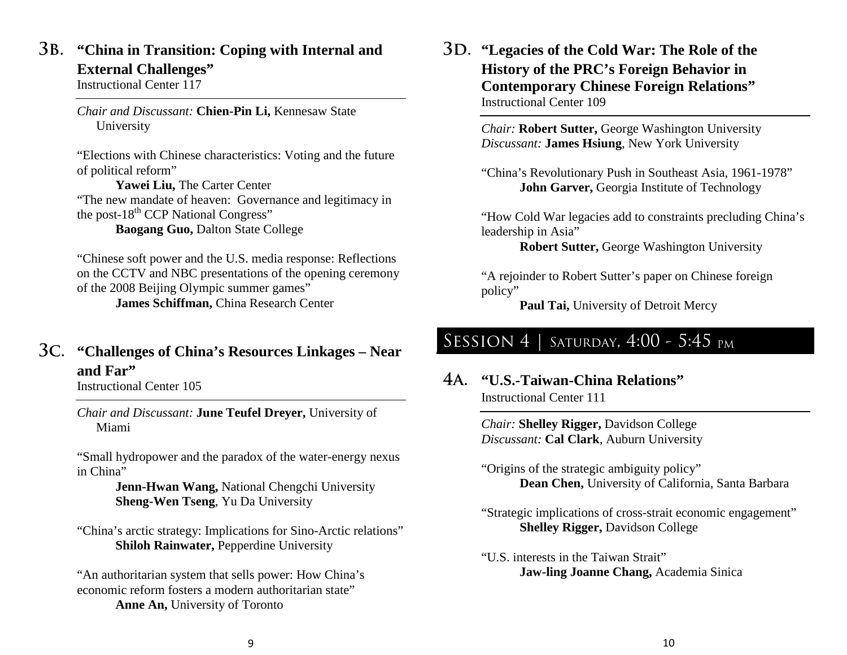### **3b. "China in Transition: Coping with Internal and External Challenges"**

Instructional Center 117

*Chair and Discussant:* **Chien-Pin Li,** Kennesaw State University

"Elections with Chinese characteristics: Voting and the future of political reform"

**Yawei Liu,** The Carter Center "The new mandate of heaven: Governance and legitimacy in the post- $18<sup>th</sup>$  CCP National Congress" **Baogang Guo,** Dalton State College

"Chinese soft power and the U.S. media response: Reflections on the CCTV and NBC presentations of the opening ceremony of the 2008 Beijing Olympic summer games" **James Schiffman,** China Research Center

### **3c. "Challenges of China's Resources Linkages – Near and Far"**

Instructional Center 105

*Chair and Discussant:* **June Teufel Dreyer,** University of Miami

"Small hydropower and the paradox of the water-energy nexus in China"

> **Jenn-Hwan Wang,** National Chengchi University **Sheng-Wen Tseng**, Yu Da University

"China's arctic strategy: Implications for Sino-Arctic relations" **Shiloh Rainwater, Pepperdine University** 

"An authoritarian system that sells power: How China's economic reform fosters a modern authoritarian state" **Anne An,** University of Toronto

#### **3d. "Legacies of the Cold War: The Role of the History of the PRC's Foreign Behavior in Contemporary Chinese Foreign Relations"** Instructional Center 109

*Chair:* **Robert Sutter,** George Washington University *Discussant:* **James Hsiung**, New York University

"China's Revolutionary Push in Southeast Asia, 1961-1978" **John Garver,** Georgia Institute of Technology

"How Cold War legacies add to constraints precluding China's leadership in Asia"

**Robert Sutter,** George Washington University

"A rejoinder to Robert Sutter's paper on Chinese foreign policy"

Paul Tai, University of Detroit Mercy

# SESSION 4 | SATURDAY, 4:00 - 5:45 PM

**4a. "U.S.-Taiwan-China Relations"** Instructional Center 111

> *Chair:* **Shelley Rigger,** Davidson College *Discussant:* **Cal Clark**, Auburn University

"Origins of the strategic ambiguity policy" **Dean Chen,** University of California, Santa Barbara

"Strategic implications of cross-strait economic engagement" **Shelley Rigger,** Davidson College

"U.S. interests in the Taiwan Strait" **Jaw-ling Joanne Chang,** Academia Sinica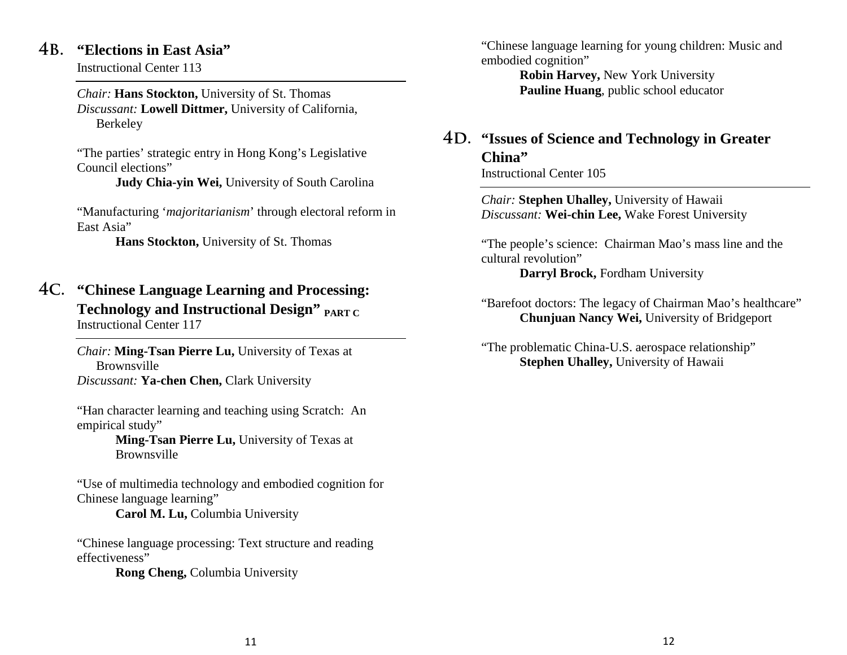#### **4b. "Elections in East Asia"**

Instructional Center 113

*Chair:* **Hans Stockton,** University of St. Thomas *Discussant:* **Lowell Dittmer,** University of California, Berkeley

"The parties' strategic entry in Hong Kong's Legislative Council elections"

**Judy Chia-yin Wei,** University of South Carolina

"Manufacturing '*majoritarianism*' through electoral reform in East Asia"

**Hans Stockton,** University of St. Thomas

**4c. "Chinese Language Learning and Processing: Technology and Instructional Design" PART C** Instructional Center 117

> *Chair:* **Ming-Tsan Pierre Lu,** University of Texas at Brownsville *Discussant:* **Ya-chen Chen,** Clark University

"Han character learning and teaching using Scratch: An empirical study"

> **Ming-Tsan Pierre Lu,** University of Texas at Brownsville

"Use of multimedia technology and embodied cognition for Chinese language learning"

**Carol M. Lu,** Columbia University

"Chinese language processing: Text structure and reading effectiveness"

**Rong Cheng,** Columbia University

"Chinese language learning for young children: Music and embodied cognition"

> **Robin Harvey,** New York University **Pauline Huang**, public school educator

## **4d. "Issues of Science and Technology in Greater China"**

Instructional Center 105

*Chair:* **Stephen Uhalley,** University of Hawaii *Discussant:* **Wei-chin Lee,** Wake Forest University

"The people's science: Chairman Mao's mass line and the cultural revolution" **Darryl Brock,** Fordham University

"Barefoot doctors: The legacy of Chairman Mao's healthcare" **Chunjuan Nancy Wei,** University of Bridgeport

"The problematic China-U.S. aerospace relationship" **Stephen Uhalley,** University of Hawaii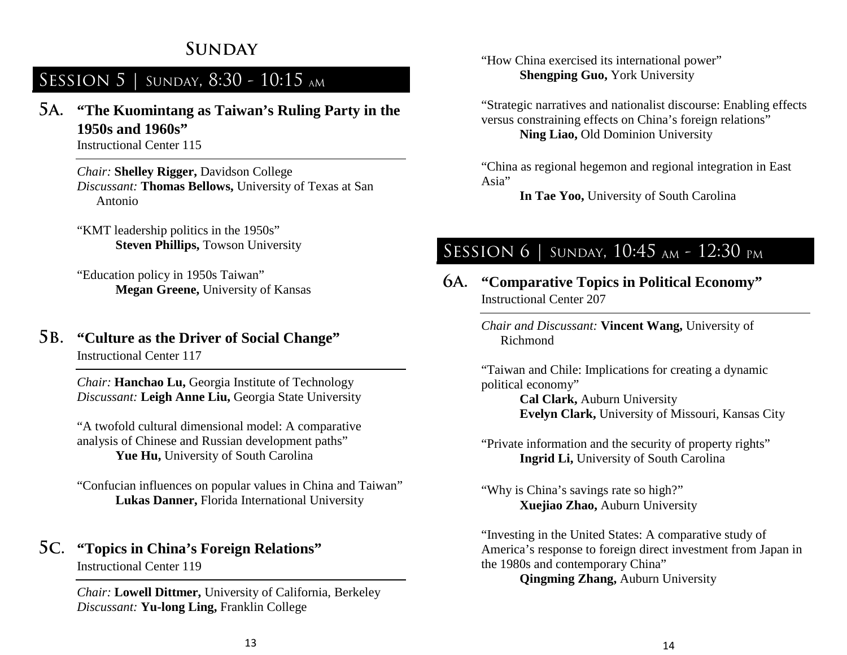## **Sunday**

## SESSION 5 | SUNDAY, 8:30 - 10:15 AM

**5a. "The Kuomintang as Taiwan's Ruling Party in the 1950s and 1960s"**

Instructional Center 115

*Chair:* **Shelley Rigger,** Davidson College *Discussant:* **Thomas Bellows,** University of Texas at San Antonio

"KMT leadership politics in the 1950s" **Steven Phillips, Towson University** 

"Education policy in 1950s Taiwan" **Megan Greene,** University of Kansas

#### **5b. "Culture as the Driver of Social Change"** Instructional Center 117

*Chair:* **Hanchao Lu,** Georgia Institute of Technology *Discussant:* **Leigh Anne Liu,** Georgia State University

"A twofold cultural dimensional model: A comparative analysis of Chinese and Russian development paths" Yue Hu, University of South Carolina

"Confucian influences on popular values in China and Taiwan" **Lukas Danner,** Florida International University

### **5c. "Topics in China's Foreign Relations"**

Instructional Center 119

*Chair:* **Lowell Dittmer,** University of California, Berkeley *Discussant:* **Yu-long Ling,** Franklin College

"How China exercised its international power" **Shengping Guo, York University** 

"Strategic narratives and nationalist discourse: Enabling effects versus constraining effects on China's foreign relations" **Ning Liao,** Old Dominion University

"China as regional hegemon and regional integration in East Asia"

**In Tae Yoo,** University of South Carolina

## SESSION 6 | SUNDAY, 10:45 AM - 12:30 PM

#### **6a. "Comparative Topics in Political Economy"** Instructional Center 207

*Chair and Discussant:* **Vincent Wang,** University of Richmond

"Taiwan and Chile: Implications for creating a dynamic political economy"

**Cal Clark,** Auburn University **Evelyn Clark,** University of Missouri, Kansas City

"Private information and the security of property rights" **Ingrid Li,** University of South Carolina

"Why is China's savings rate so high?" **Xuejiao Zhao,** Auburn University

"Investing in the United States: A comparative study of America's response to foreign direct investment from Japan in the 1980s and contemporary China"

**Qingming Zhang,** Auburn University